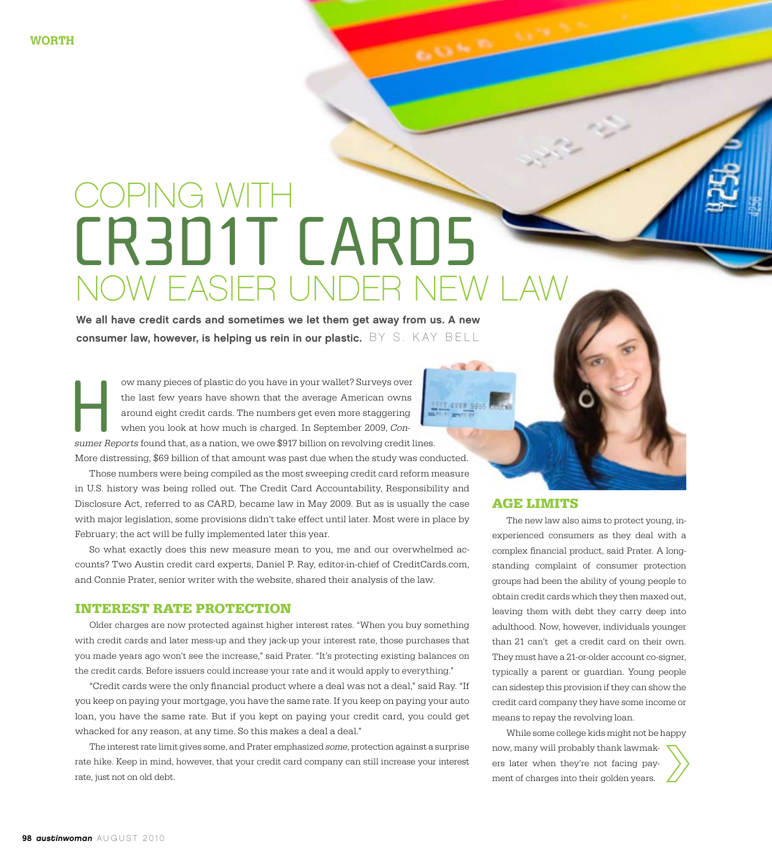# CR3D1T CARD5 coping with NOW EASIER UNDER N

We all have credit cards and sometimes we let them get away from us. A new consumer law, however, is helping us rein in our plastic.  $BY S. KAY BELL$ 

ow many pieces of plastic do you have in your wallet? Surveys over the last few years have shown that the average American owns around eight credit cards. The numbers get even more staggering when you look at how much is charged. In September 2009, Conow many pieces of plastic do you have in your wallet? Surveys over<br>the last few years have shown that the average American owns<br>around eight credit cards. The numbers get even more staggering<br>when you look at how much is c

More distressing, \$69 billion of that amount was past due when the study was conducted. Those numbers were being compiled as the most sweeping credit card reform measure

in U.S. history was being rolled out. The Credit Card Accountability, Responsibility and Disclosure Act, referred to as CARD, became law in May 2009. But as is usually the case with major legislation, some provisions didn't take effect until later. Most were in place by February; the act will be fully implemented later this year.

So what exactly does this new measure mean to you, me and our overwhelmed accounts? Two Austin credit card experts, Daniel P. Ray, editor-in-chief of CreditCards.com, and Connie Prater, senior writer with the website, shared their analysis of the law.

## **Interest Rate Protection**

Older charges are now protected against higher interest rates. "When you buy something with credit cards and later mess-up and they jack-up your interest rate, those purchases that you made years ago won't see the increase," said Prater. "It's protecting existing balances on the credit cards. Before issuers could increase your rate and it would apply to everything."

"Credit cards were the only financial product where a deal was not a deal," said Ray. "If you keep on paying your mortgage, you have the same rate. If you keep on paying your auto loan, you have the same rate. But if you kept on paying your credit card, you could get whacked for any reason, at any time. So this makes a deal a deal."

The interest rate limit gives some, and Prater emphasized some, protection against a surprise rate hike. Keep in mind, however, that your credit card company can still increase your interest rate, just not on old debt.

## **Age Limits**

**ONE OF** 

The new law also aims to protect young, inexperienced consumers as they deal with a complex financial product, said Prater. A longstanding complaint of consumer protection groups had been the ability of young people to obtain credit cards which they then maxed out, leaving them with debt they carry deep into adulthood. Now, however, individuals younger than 21 can't get a credit card on their own. They must have a 21-or-older account co-signer, typically a parent or guardian. Young people can sidestep this provision if they can show the credit card company they have some income or means to repay the revolving loan.

While some college kids might not be happy now, many will probably thank lawmakers later when they're not facing payment of charges into their golden years.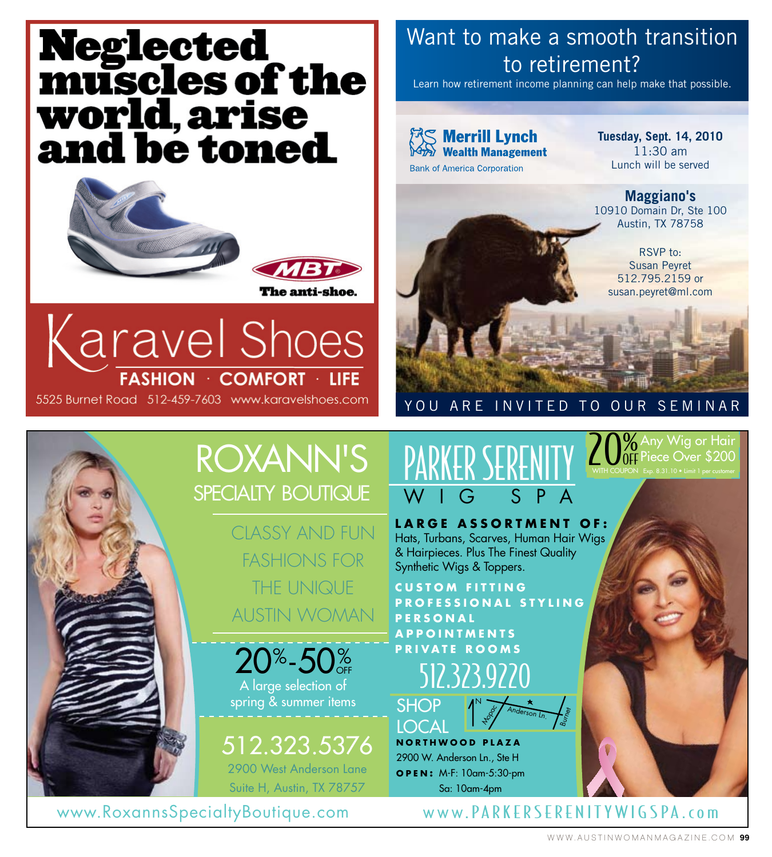# **Neglected<br>muscles of the<br>world, arise<br>and be toned**



Karavel Shoes **FASHION · COMFORT · LIFE** 5525 Burnet Road 512-459-7603 www.karavelshoes.com

## Want to make a smooth transition to retirement?

Learn how retirement income planning can help make that possible.

**※S Merrill Lynch Wealth Management Bank of America Corporation** 

**Tuesday, Sept. 14, 2010** 11:30 am Lunch will be served

**Maggiano's**  10910 Domain Dr, Ste 100 Austin, TX 78758

RSVP to: Susan Peyret 512.795.2159 or susan.peyret@ml.com

> Any Wig or Hair Piece Over \$200 Exp. 8.31.10 • Limit 1 per customer



## YOU ARE INVITED TO OUR SEMINAR

20%

WitH COuPOn

## ROXaNN's spECiaLTY BOUTiQUE

CLASSY AND FUN FASHIONS FOR THE UNIQUE AUSTIN WOMAN

A large selection of  $20^{\circ}$ -50 $^{\circ}_{}$ 

spring & summer items

512.323.5376 2900 West Anderson Lane

Suite H, Austin, TX 78757

## Parker Serenity wig spa

**l arge a ssortment o F :** Hats, Turbans, Scarves, Human Hair Wigs & Hairpieces. plus The Finest Quality Synthetic Wigs & Toppers.

**Custom Fitting Pro F essional s tyling P e r s o n a l aPP ointments Pr ivate r o o m s** 



**n orthwood Plaza** N anderson Ln. **Hopoc SHOP** LOCAL

2900 W. Anderson Ln., Ste H **o P e n :** M-F: 10am-5:30-pm Sa: 10am-4pm

www.RoxannsSpecialtyBoutique.com www.PARKERSERENITYWIGSPA.com

B<sub>urney</sub>